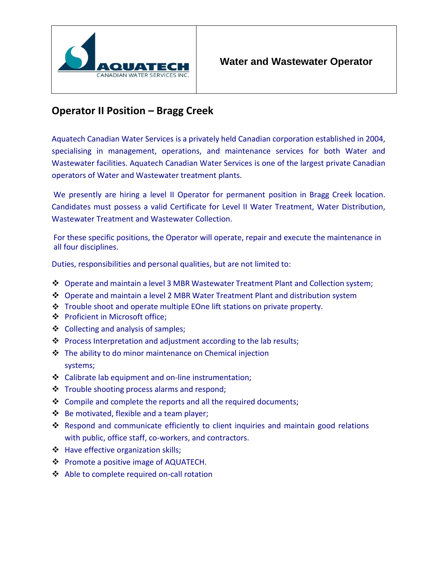

## **Operator II Position – Bragg Creek**

Aquatech Canadian Water Services is a privately held Canadian corporation established in 2004, specialising in management, operations, and maintenance services for both Water and Wastewater facilities. Aquatech Canadian Water Services is one of the largest private Canadian operators of Water and Wastewater treatment plants.

We presently are hiring a level II Operator for permanent position in Bragg Creek location. Candidates must possess a valid Certificate for Level II Water Treatment, Water Distribution, Wastewater Treatment and Wastewater Collection.

For these specific positions, the Operator will operate, repair and execute the maintenance in all four disciplines.

Duties, responsibilities and personal qualities, but are not limited to:

- ❖ Operate and maintain a level 3 MBR Wastewater Treatment Plant and Collection system;
- ❖ Operate and maintain a level 2 MBR Water Treatment Plant and distribution system
- ❖ Trouble shoot and operate multiple EOne lift stations on private property.
- ❖ Proficient in Microsoft office;
- ❖ Collecting and analysis of samples;
- ❖ Process Interpretation and adjustment according to the lab results;
- ❖ The ability to do minor maintenance on Chemical injection systems;
- ❖ Calibrate lab equipment and on-line instrumentation;
- ❖ Trouble shooting process alarms and respond;
- ❖ Compile and complete the reports and all the required documents;
- ❖ Be motivated, flexible and a team player;
- ❖ Respond and communicate efficiently to client inquiries and maintain good relations with public, office staff, co-workers, and contractors.
- ❖ Have effective organization skills;
- ❖ Promote a positive image of AQUATECH.
- ❖ Able to complete required on-call rotation